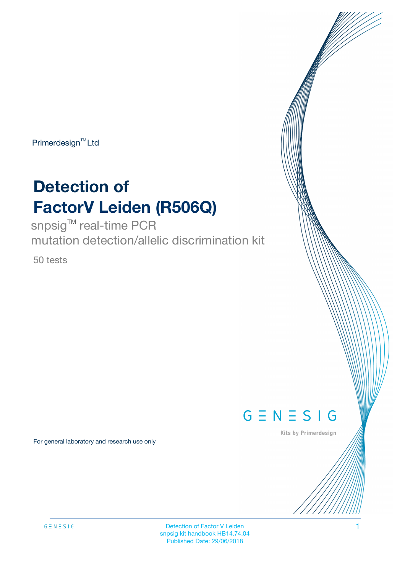$Primerdesign^{TM}$ Ltd

# **Detection of FactorV Leiden (R506Q)**

snpsig<sup>™</sup> real-time PCR mutation detection/allelic discrimination kit

50 tests

 $G \equiv N \equiv S \mid G$ 

Kits by Primerdesign

For general laboratory and research use only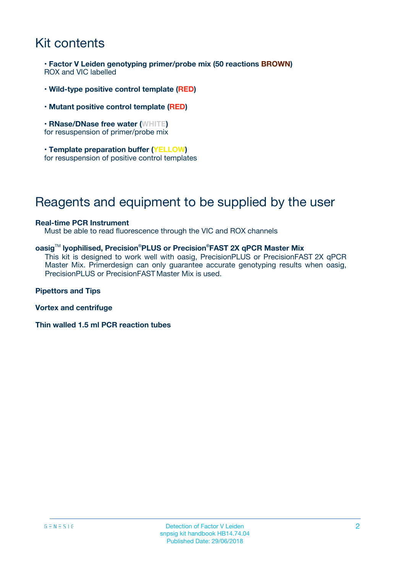## Kit contents

**• Factor V Leiden genotyping primer/probe mix (50 reactions BROWN)** ROX and VIC labelled

- **Wild-type positive control template (RED)**
- **Mutant positive control template (RED)**
- **RNase/DNase free water (WHITE)** for resuspension of primer/probe mix
- **Template preparation buffer (YELLOW)** for resuspension of positive control templates

### Reagents and equipment to be supplied by the user

#### **Real-time PCR Instrument**

Must be able to read fluorescence through the VIC and ROX channels

#### **oasig**TM **lyophilised, Precision®PLUS or Precision® FAST 2X qPCR Master Mix**

This kit is designed to work well with oasig, PrecisionPLUS or PrecisionFAST 2X qPCR Master Mix. Primerdesign can only guarantee accurate genotyping results when oasig, PrecisionPLUS or PrecisionFAST Master Mix is used.

**Pipettors and Tips**

**Vortex and centrifuge**

**Thin walled 1.5 ml PCR reaction tubes**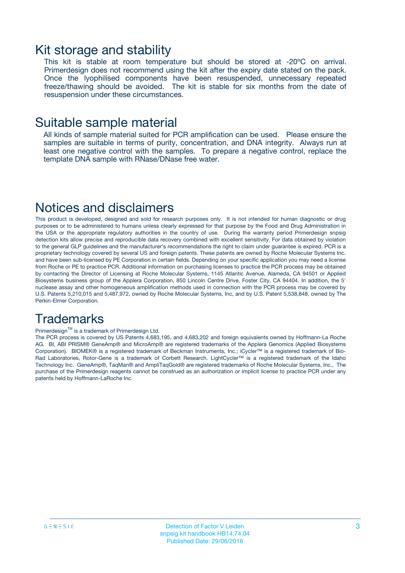### Kit storage and stability

This kit is stable at room temperature but should be stored at -20ºC on arrival. Primerdesign does not recommend using the kit after the expiry date stated on the pack. Once the lyophilised components have been resuspended, unnecessary repeated freeze/thawing should be avoided. The kit is stable for six months from the date of resuspension under these circumstances.

### Suitable sample material

All kinds of sample material suited for PCR amplification can be used. Please ensure the samples are suitable in terms of purity, concentration, and DNA integrity. Always run at least one negative control with the samples. To prepare a negative control, replace the template DNA sample with RNase/DNase free water.

### Notices and disclaimers

This product is developed, designed and sold for research purposes only. It is not intended for human diagnostic or drug purposes or to be administered to humans unless clearly expressed for that purpose by the Food and Drug Administration in the USA or the appropriate regulatory authorities in the country of use. During the warranty period Primerdesign snpsig detection kits allow precise and reproducible data recovery combined with excellent sensitivity. For data obtained by violation to the general GLP guidelines and the manufacturer's recommendations the right to claim under guarantee is expired. PCR is a proprietary technology covered by several US and foreign patents. These patents are owned by Roche Molecular Systems Inc. and have been sub-licensed by PE Corporation in certain fields. Depending on your specific application you may need a license from Roche or PE to practice PCR. Additional information on purchasing licenses to practice the PCR process may be obtained by contacting the Director of Licensing at Roche Molecular Systems, 1145 Atlantic Avenue, Alameda, CA 94501 or Applied Biosystems business group of the Applera Corporation, 850 Lincoln Centre Drive, Foster City, CA 94404. In addition, the 5' nuclease assay and other homogeneous amplification methods used in connection with the PCR process may be covered by U.S. Patents 5,210,015 and 5,487,972, owned by Roche Molecular Systems, Inc, and by U.S. Patent 5,538,848, owned by The Perkin-Elmer Corporation.

### **Trademarks**

#### Primerdesign™ is a trademark of Primerdesign Ltd.

The PCR process is covered by US Patents 4,683,195, and 4,683,202 and foreign equivalents owned by Hoffmann-La Roche AG. BI, ABI PRISM® GeneAmp® and MicroAmp® are registered trademarks of the Applera Genomics (Applied Biosystems Corporation). BIOMEK® is a registered trademark of Beckman Instruments, Inc.; iCycler™ is a registered trademark of Bio-Rad Laboratories, Rotor-Gene is a trademark of Corbett Research. LightCycler™ is a registered trademark of the Idaho Technology Inc. GeneAmp®, TaqMan® and AmpliTaqGold® are registered trademarks of Roche Molecular Systems, Inc., The purchase of the Primerdesign reagents cannot be construed as an authorization or implicit license to practice PCR under any patents held by Hoffmann-LaRoche Inc.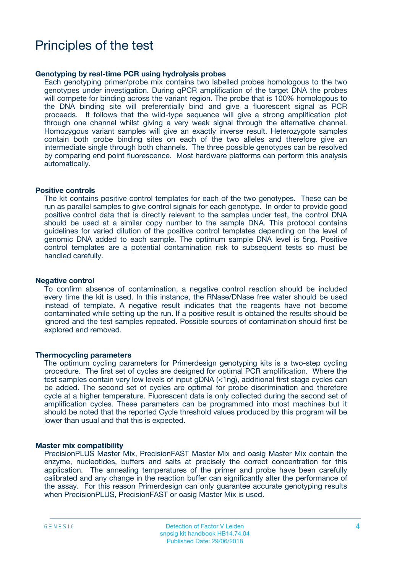### Principles of the test

#### **Genotyping by real-time PCR using hydrolysis probes**

Each genotyping primer/probe mix contains two labelled probes homologous to the two genotypes under investigation. During qPCR amplification of the target DNA the probes will compete for binding across the variant region. The probe that is 100% homologous to the DNA binding site will preferentially bind and give a fluorescent signal as PCR proceeds. It follows that the wild-type sequence will give a strong amplification plot through one channel whilst giving a very weak signal through the alternative channel. Homozygous variant samples will give an exactly inverse result. Heterozygote samples contain both probe binding sites on each of the two alleles and therefore give an intermediate single through both channels. The three possible genotypes can be resolved by comparing end point fluorescence. Most hardware platforms can perform this analysis automatically.

#### **Positive controls**

The kit contains positive control templates for each of the two genotypes. These can be run as parallel samples to give control signals for each genotype. In order to provide good positive control data that is directly relevant to the samples under test, the control DNA should be used at a similar copy number to the sample DNA. This protocol contains guidelines for varied dilution of the positive control templates depending on the level of genomic DNA added to each sample. The optimum sample DNA level is 5ng. Positive control templates are a potential contamination risk to subsequent tests so must be handled carefully.

#### **Negative control**

To confirm absence of contamination, a negative control reaction should be included every time the kit is used. In this instance, the RNase/DNase free water should be used instead of template. A negative result indicates that the reagents have not become contaminated while setting up the run. If a positive result is obtained the results should be ignored and the test samples repeated. Possible sources of contamination should first be explored and removed.

#### **Thermocycling parameters**

The optimum cycling parameters for Primerdesign genotyping kits is a two-step cycling procedure. The first set of cycles are designed for optimal PCR amplification. Where the test samples contain very low levels of input gDNA (<1ng), additional first stage cycles can be added. The second set of cycles are optimal for probe discrimination and therefore cycle at a higher temperature. Fluorescent data is only collected during the second set of amplification cycles. These parameters can be programmed into most machines but it should be noted that the reported Cycle threshold values produced by this program will be lower than usual and that this is expected.

#### **Master mix compatibility**

PrecisionPLUS Master Mix, PrecisionFAST Master Mix and oasig Master Mix contain the enzyme, nucleotides, buffers and salts at precisely the correct concentration for this application. The annealing temperatures of the primer and probe have been carefully calibrated and any change in the reaction buffer can significantly alter the performance of the assay. For this reason Primerdesign can only guarantee accurate genotyping results when PrecisionPLUS, PrecisionFAST or oasig Master Mix is used.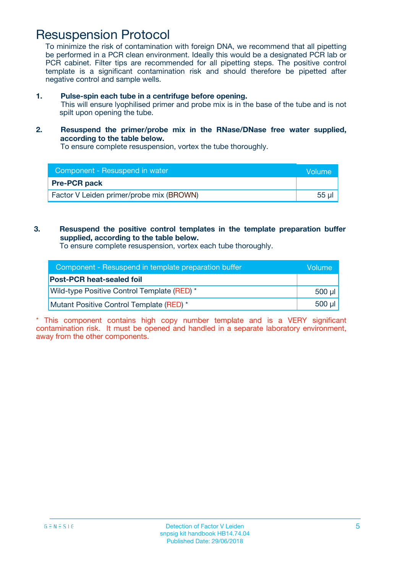### Resuspension Protocol

To minimize the risk of contamination with foreign DNA, we recommend that all pipetting be performed in a PCR clean environment. Ideally this would be a designated PCR lab or PCR cabinet. Filter tips are recommended for all pipetting steps. The positive control template is a significant contamination risk and should therefore be pipetted after negative control and sample wells.

- **1. Pulse-spin each tube in a centrifuge before opening.** This will ensure lyophilised primer and probe mix is in the base of the tube and is not spilt upon opening the tube.
- **2. Resuspend the primer/probe mix in the RNase/DNase free water supplied, according to the table below.**

To ensure complete resuspension, vortex the tube thoroughly.

| Component - Resuspend in water           | <b>Nolume</b> |
|------------------------------------------|---------------|
| <b>Pre-PCR pack</b>                      |               |
| Factor V Leiden primer/probe mix (BROWN) | 55 µl         |

### **3. Resuspend the positive control templates in the template preparation buffer supplied, according to the table below.**

To ensure complete resuspension, vortex each tube thoroughly.

| Component - Resuspend in template preparation buffer | Volume           |
|------------------------------------------------------|------------------|
| <b>Post-PCR heat-sealed foil</b>                     |                  |
| Wild-type Positive Control Template (RED) *          | 500 µl l         |
| Mutant Positive Control Template (RED) *             | $500$ µl $\vert$ |

\* This component contains high copy number template and is a VERY significant contamination risk. It must be opened and handled in a separate laboratory environment, away from the other components.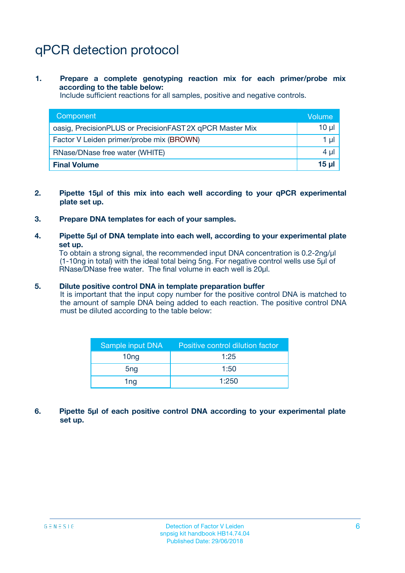# qPCR detection protocol

**1. Prepare a complete genotyping reaction mix for each primer/probe mix according to the table below:**

Include sufficient reactions for all samples, positive and negative controls.

| Component                                                | Volume   |
|----------------------------------------------------------|----------|
| oasig, PrecisionPLUS or PrecisionFAST 2X qPCR Master Mix | 10 µl    |
| Factor V Leiden primer/probe mix (BROWN)                 | 1 µI     |
| RNase/DNase free water (WHITE)                           | $4 \mu$  |
| <b>Final Volume</b>                                      | $15 \mu$ |

- **2. Pipette 15µl of this mix into each well according to your qPCR experimental plate set up.**
- **3. Prepare DNA templates for each of your samples.**
- **4. Pipette 5µl of DNA template into each well, according to your experimental plate set up.**

To obtain a strong signal, the recommended input DNA concentration is 0.2-2ng/µl (1-10ng in total) with the ideal total being 5ng. For negative control wells use 5µl of RNase/DNase free water. The final volume in each well is 20µl.

#### **5. Dilute positive control DNA in template preparation buffer**

It is important that the input copy number for the positive control DNA is matched to the amount of sample DNA being added to each reaction. The positive control DNA must be diluted according to the table below:

| Sample input DNA | Positive control dilution factor |  |
|------------------|----------------------------------|--|
| 10 <sub>ng</sub> | 1:25                             |  |
| 5 <sub>ng</sub>  | 1:50                             |  |
| 1ng              | 1:250                            |  |

**6. Pipette 5µl of each positive control DNA according to your experimental plate set up.**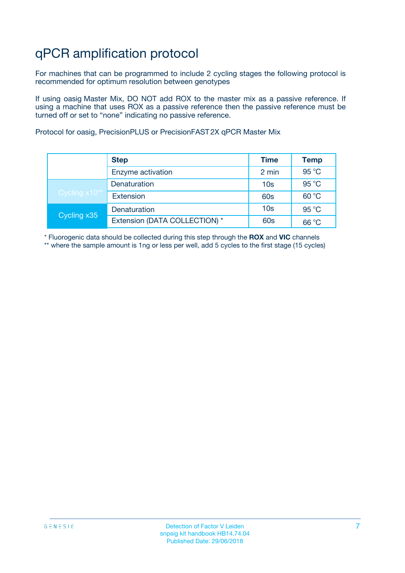# qPCR amplification protocol

For machines that can be programmed to include 2 cycling stages the following protocol is recommended for optimum resolution between genotypes

If using oasig Master Mix, DO NOT add ROX to the master mix as a passive reference. If using a machine that uses ROX as a passive reference then the passive reference must be turned off or set to "none" indicating no passive reference.

Protocol for oasig, PrecisionPLUS or PrecisionFAST 2X qPCR Master Mix

|               | <b>Step</b>                   | <b>Time</b>     | <b>Temp</b> |
|---------------|-------------------------------|-----------------|-------------|
|               | Enzyme activation             | 2 min           | 95 °C       |
| Cycling x10** | Denaturation                  | 10 <sub>s</sub> | 95 °C       |
|               | <b>Extension</b>              | <b>60s</b>      | 60 °C       |
| Cycling x35   | Denaturation                  | 10 <sub>s</sub> | 95 °C       |
|               | Extension (DATA COLLECTION) * | 60s             | 66 °C       |

\* Fluorogenic data should be collected during this step through the **ROX** and **VIC** channels \*\* where the sample amount is 1ng or less per well, add 5 cycles to the first stage (15 cycles)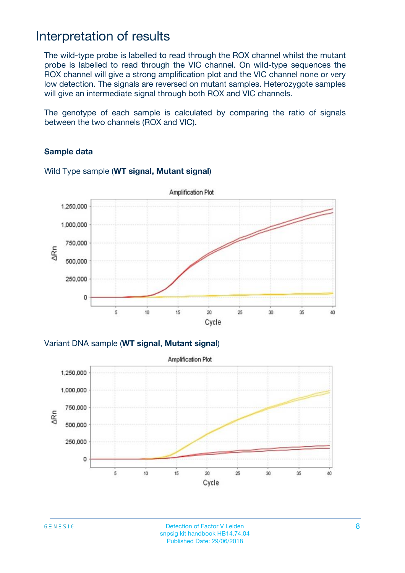### Interpretation of results

The wild-type probe is labelled to read through the ROX channel whilst the mutant probe is labelled to read through the VIC channel. On wild-type sequences the ROX channel will give a strong amplification plot and the VIC channel none or very low detection. The signals are reversed on mutant samples. Heterozygote samples will give an intermediate signal through both ROX and VIC channels.

The genotype of each sample is calculated by comparing the ratio of signals between the two channels (ROX and VIC).

### **Sample data**



### Wild Type sample (**WT signal, Mutant signal**)

Variant DNA sample (**WT signal**, **Mutant signal**)